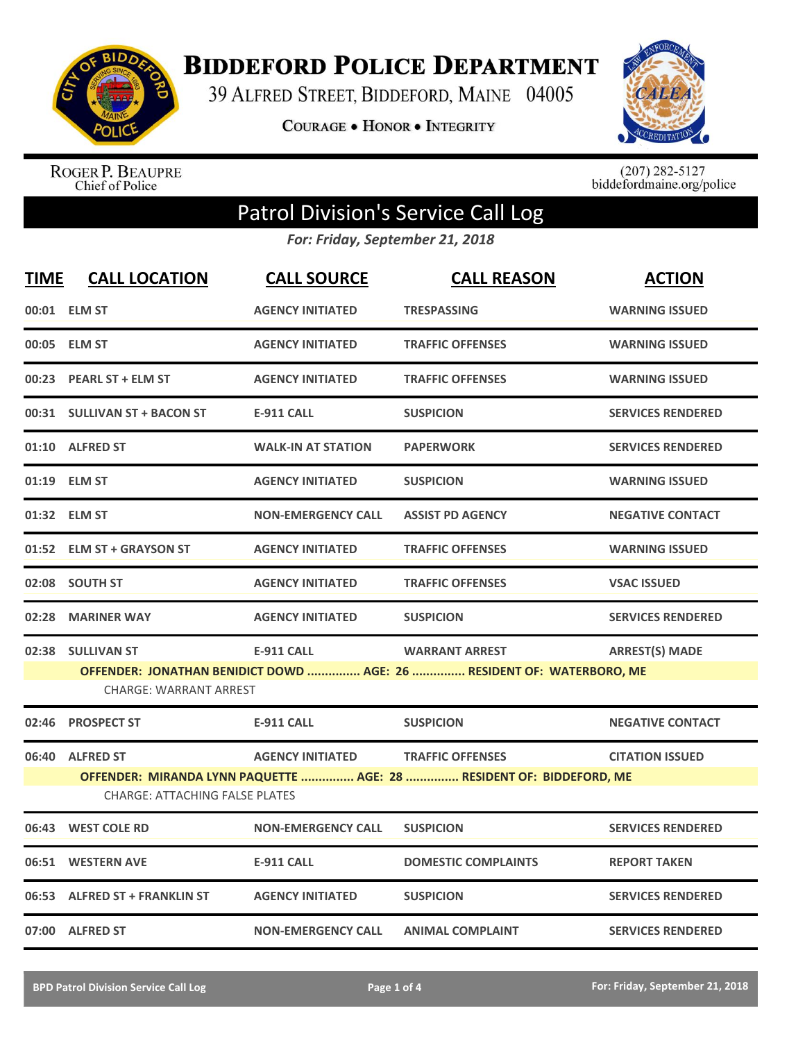

**BIDDEFORD POLICE DEPARTMENT** 

39 ALFRED STREET, BIDDEFORD, MAINE 04005

**COURAGE . HONOR . INTEGRITY** 



ROGER P. BEAUPRE<br>Chief of Police

 $(207)$  282-5127<br>biddefordmaine.org/police

## Patrol Division's Service Call Log

*For: Friday, September 21, 2018*

| <b>TIME</b> | <b>CALL LOCATION</b>                                                                                                                                                                                             | <b>CALL SOURCE</b>        | <b>CALL REASON</b>         | <b>ACTION</b>            |  |
|-------------|------------------------------------------------------------------------------------------------------------------------------------------------------------------------------------------------------------------|---------------------------|----------------------------|--------------------------|--|
|             | 00:01 ELM ST                                                                                                                                                                                                     | <b>AGENCY INITIATED</b>   | <b>TRESPASSING</b>         | <b>WARNING ISSUED</b>    |  |
|             | 00:05 ELM ST                                                                                                                                                                                                     | <b>AGENCY INITIATED</b>   | <b>TRAFFIC OFFENSES</b>    | <b>WARNING ISSUED</b>    |  |
|             | 00:23 PEARL ST + ELM ST                                                                                                                                                                                          | <b>AGENCY INITIATED</b>   | <b>TRAFFIC OFFENSES</b>    | <b>WARNING ISSUED</b>    |  |
|             | 00:31 SULLIVAN ST + BACON ST                                                                                                                                                                                     | <b>E-911 CALL</b>         | <b>SUSPICION</b>           | <b>SERVICES RENDERED</b> |  |
|             | 01:10 ALFRED ST                                                                                                                                                                                                  | <b>WALK-IN AT STATION</b> | <b>PAPERWORK</b>           | <b>SERVICES RENDERED</b> |  |
|             | 01:19 ELM ST                                                                                                                                                                                                     | <b>AGENCY INITIATED</b>   | <b>SUSPICION</b>           | <b>WARNING ISSUED</b>    |  |
|             | 01:32 ELM ST                                                                                                                                                                                                     | <b>NON-EMERGENCY CALL</b> | <b>ASSIST PD AGENCY</b>    | <b>NEGATIVE CONTACT</b>  |  |
|             | 01:52 ELM ST + GRAYSON ST                                                                                                                                                                                        | <b>AGENCY INITIATED</b>   | <b>TRAFFIC OFFENSES</b>    | <b>WARNING ISSUED</b>    |  |
|             | 02:08 SOUTH ST                                                                                                                                                                                                   | <b>AGENCY INITIATED</b>   | <b>TRAFFIC OFFENSES</b>    | <b>VSAC ISSUED</b>       |  |
| 02:28       | <b>MARINER WAY</b>                                                                                                                                                                                               | <b>AGENCY INITIATED</b>   | <b>SUSPICION</b>           | <b>SERVICES RENDERED</b> |  |
|             | 02:38 SULLIVAN ST<br><b>E-911 CALL</b><br><b>WARRANT ARREST</b><br><b>ARREST(S) MADE</b><br>OFFENDER: JONATHAN BENIDICT DOWD  AGE: 26  RESIDENT OF: WATERBORO, ME<br><b>CHARGE: WARRANT ARREST</b>               |                           |                            |                          |  |
| 02:46       | <b>PROSPECT ST</b>                                                                                                                                                                                               | <b>E-911 CALL</b>         | <b>SUSPICION</b>           | <b>NEGATIVE CONTACT</b>  |  |
|             | 06:40 ALFRED ST<br><b>AGENCY INITIATED</b><br><b>TRAFFIC OFFENSES</b><br><b>CITATION ISSUED</b><br>OFFENDER: MIRANDA LYNN PAQUETTE  AGE: 28  RESIDENT OF: BIDDEFORD, ME<br><b>CHARGE: ATTACHING FALSE PLATES</b> |                           |                            |                          |  |
|             | 06:43 WEST COLE RD                                                                                                                                                                                               | <b>NON-EMERGENCY CALL</b> | <b>SUSPICION</b>           | <b>SERVICES RENDERED</b> |  |
| 06:51       | <b>WESTERN AVE</b>                                                                                                                                                                                               | <b>E-911 CALL</b>         | <b>DOMESTIC COMPLAINTS</b> | <b>REPORT TAKEN</b>      |  |
|             | 06:53 ALFRED ST + FRANKLIN ST                                                                                                                                                                                    | <b>AGENCY INITIATED</b>   | <b>SUSPICION</b>           | <b>SERVICES RENDERED</b> |  |
|             | 07:00 ALFRED ST                                                                                                                                                                                                  | <b>NON-EMERGENCY CALL</b> | <b>ANIMAL COMPLAINT</b>    | <b>SERVICES RENDERED</b> |  |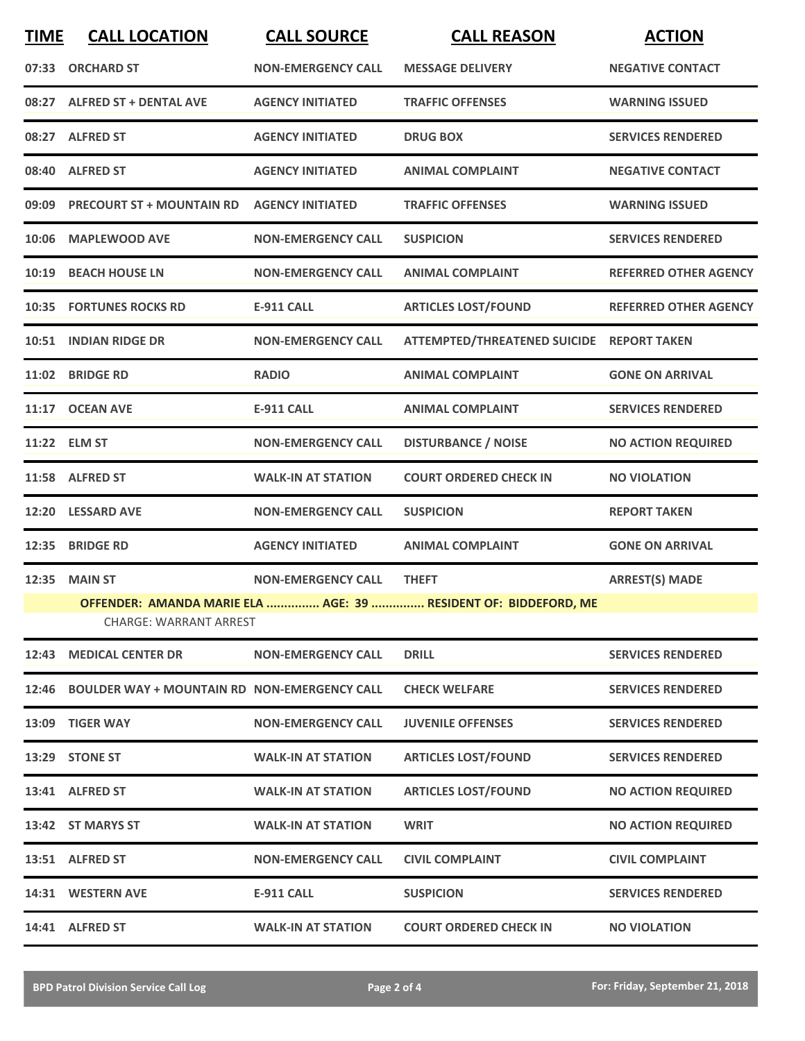| <b>TIME</b>                                                                                      | <b>CALL LOCATION</b>                                | <b>CALL SOURCE</b>        | <b>CALL REASON</b>                        | <b>ACTION</b>                |  |
|--------------------------------------------------------------------------------------------------|-----------------------------------------------------|---------------------------|-------------------------------------------|------------------------------|--|
|                                                                                                  | 07:33 ORCHARD ST                                    | <b>NON-EMERGENCY CALL</b> | <b>MESSAGE DELIVERY</b>                   | <b>NEGATIVE CONTACT</b>      |  |
|                                                                                                  | 08:27 ALFRED ST + DENTAL AVE                        | <b>AGENCY INITIATED</b>   | <b>TRAFFIC OFFENSES</b>                   | <b>WARNING ISSUED</b>        |  |
|                                                                                                  | 08:27 ALFRED ST                                     | <b>AGENCY INITIATED</b>   | <b>DRUG BOX</b>                           | <b>SERVICES RENDERED</b>     |  |
|                                                                                                  | 08:40 ALFRED ST                                     | <b>AGENCY INITIATED</b>   | <b>ANIMAL COMPLAINT</b>                   | <b>NEGATIVE CONTACT</b>      |  |
| 09:09                                                                                            | <b>PRECOURT ST + MOUNTAIN RD</b>                    | <b>AGENCY INITIATED</b>   | <b>TRAFFIC OFFENSES</b>                   | <b>WARNING ISSUED</b>        |  |
| 10:06                                                                                            | <b>MAPLEWOOD AVE</b>                                | <b>NON-EMERGENCY CALL</b> | <b>SUSPICION</b>                          | <b>SERVICES RENDERED</b>     |  |
| 10:19                                                                                            | <b>BEACH HOUSE LN</b>                               | <b>NON-EMERGENCY CALL</b> | <b>ANIMAL COMPLAINT</b>                   | <b>REFERRED OTHER AGENCY</b> |  |
|                                                                                                  | <b>10:35 FORTUNES ROCKS RD</b>                      | <b>E-911 CALL</b>         | <b>ARTICLES LOST/FOUND</b>                | <b>REFERRED OTHER AGENCY</b> |  |
|                                                                                                  | 10:51 INDIAN RIDGE DR                               | <b>NON-EMERGENCY CALL</b> | ATTEMPTED/THREATENED SUICIDE REPORT TAKEN |                              |  |
| 11:02                                                                                            | <b>BRIDGE RD</b>                                    | <b>RADIO</b>              | <b>ANIMAL COMPLAINT</b>                   | <b>GONE ON ARRIVAL</b>       |  |
|                                                                                                  | 11:17 OCEAN AVE                                     | <b>E-911 CALL</b>         | <b>ANIMAL COMPLAINT</b>                   | <b>SERVICES RENDERED</b>     |  |
|                                                                                                  | 11:22 ELM ST                                        | <b>NON-EMERGENCY CALL</b> | <b>DISTURBANCE / NOISE</b>                | <b>NO ACTION REQUIRED</b>    |  |
|                                                                                                  | 11:58 ALFRED ST                                     | <b>WALK-IN AT STATION</b> | <b>COURT ORDERED CHECK IN</b>             | <b>NO VIOLATION</b>          |  |
| 12:20                                                                                            | <b>LESSARD AVE</b>                                  | <b>NON-EMERGENCY CALL</b> | <b>SUSPICION</b>                          | <b>REPORT TAKEN</b>          |  |
| 12:35                                                                                            | <b>BRIDGE RD</b>                                    | <b>AGENCY INITIATED</b>   | <b>ANIMAL COMPLAINT</b>                   | <b>GONE ON ARRIVAL</b>       |  |
| 12:35                                                                                            | <b>MAIN ST</b>                                      | <b>NON-EMERGENCY CALL</b> | <b>THEFT</b>                              | <b>ARREST(S) MADE</b>        |  |
| OFFENDER: AMANDA MARIE ELA  AGE: 39  RESIDENT OF: BIDDEFORD, ME<br><b>CHARGE: WARRANT ARREST</b> |                                                     |                           |                                           |                              |  |
| 12:43                                                                                            | <b>MEDICAL CENTER DR</b>                            | <b>NON-EMERGENCY CALL</b> | <b>DRILL</b>                              | <b>SERVICES RENDERED</b>     |  |
|                                                                                                  |                                                     |                           |                                           |                              |  |
| 12:46                                                                                            | <b>BOULDER WAY + MOUNTAIN RD NON-EMERGENCY CALL</b> |                           | <b>CHECK WELFARE</b>                      | <b>SERVICES RENDERED</b>     |  |
|                                                                                                  | 13:09 TIGER WAY                                     | <b>NON-EMERGENCY CALL</b> | <b>JUVENILE OFFENSES</b>                  | <b>SERVICES RENDERED</b>     |  |
|                                                                                                  | 13:29 STONE ST                                      | <b>WALK-IN AT STATION</b> | <b>ARTICLES LOST/FOUND</b>                | <b>SERVICES RENDERED</b>     |  |
|                                                                                                  | 13:41 ALFRED ST                                     | <b>WALK-IN AT STATION</b> | <b>ARTICLES LOST/FOUND</b>                | <b>NO ACTION REQUIRED</b>    |  |
|                                                                                                  | 13:42 ST MARYS ST                                   | <b>WALK-IN AT STATION</b> | <b>WRIT</b>                               | <b>NO ACTION REQUIRED</b>    |  |
|                                                                                                  | 13:51 ALFRED ST                                     | <b>NON-EMERGENCY CALL</b> | <b>CIVIL COMPLAINT</b>                    | <b>CIVIL COMPLAINT</b>       |  |
|                                                                                                  | 14:31 WESTERN AVE                                   | <b>E-911 CALL</b>         | <b>SUSPICION</b>                          | <b>SERVICES RENDERED</b>     |  |
|                                                                                                  | 14:41 ALFRED ST                                     | <b>WALK-IN AT STATION</b> | <b>COURT ORDERED CHECK IN</b>             | <b>NO VIOLATION</b>          |  |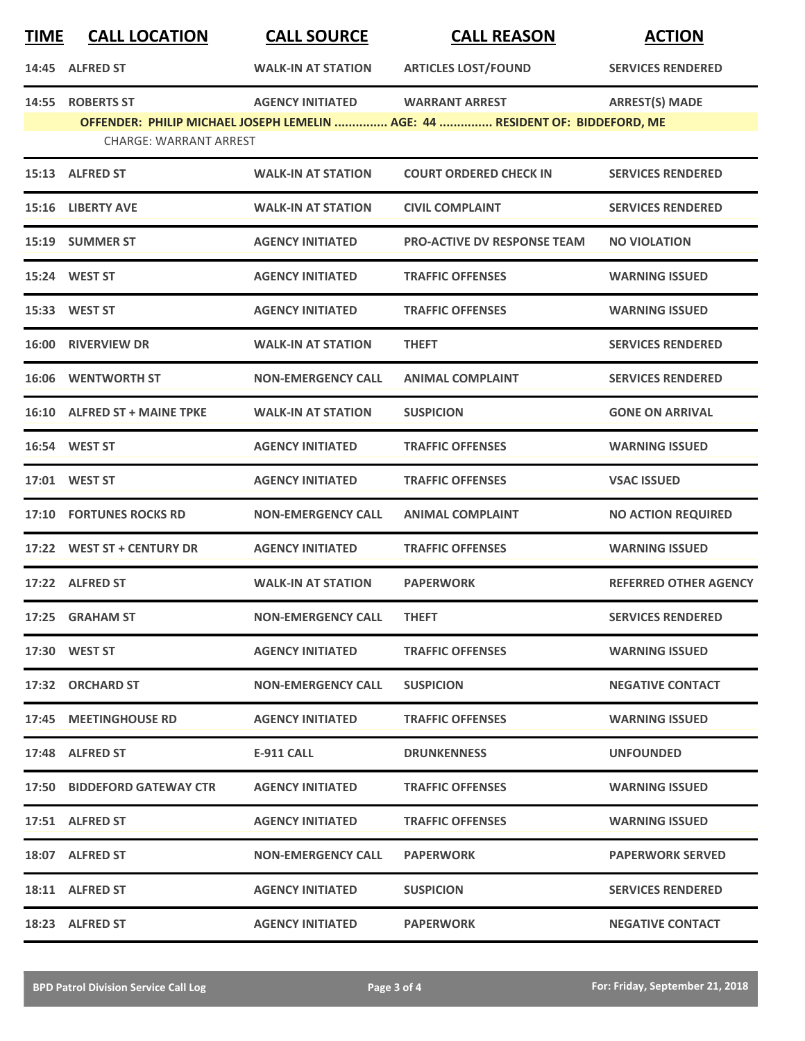| <b>TIME</b> | <b>CALL LOCATION</b>                              | <b>CALL SOURCE</b>        | <b>CALL REASON</b>                                                                                    | <b>ACTION</b>                |
|-------------|---------------------------------------------------|---------------------------|-------------------------------------------------------------------------------------------------------|------------------------------|
|             | 14:45 ALFRED ST                                   | <b>WALK-IN AT STATION</b> | <b>ARTICLES LOST/FOUND</b>                                                                            | <b>SERVICES RENDERED</b>     |
|             | 14:55 ROBERTS ST<br><b>CHARGE: WARRANT ARREST</b> | <b>AGENCY INITIATED</b>   | <b>WARRANT ARREST</b><br>OFFENDER: PHILIP MICHAEL JOSEPH LEMELIN  AGE: 44  RESIDENT OF: BIDDEFORD, ME | <b>ARREST(S) MADE</b>        |
|             | 15:13 ALFRED ST                                   | <b>WALK-IN AT STATION</b> | <b>COURT ORDERED CHECK IN</b>                                                                         | <b>SERVICES RENDERED</b>     |
|             | 15:16 LIBERTY AVE                                 | <b>WALK-IN AT STATION</b> | <b>CIVIL COMPLAINT</b>                                                                                | <b>SERVICES RENDERED</b>     |
|             | 15:19 SUMMER ST                                   | <b>AGENCY INITIATED</b>   | <b>PRO-ACTIVE DV RESPONSE TEAM</b>                                                                    | <b>NO VIOLATION</b>          |
|             | 15:24 WEST ST                                     | <b>AGENCY INITIATED</b>   | <b>TRAFFIC OFFENSES</b>                                                                               | <b>WARNING ISSUED</b>        |
|             | 15:33 WEST ST                                     | <b>AGENCY INITIATED</b>   | <b>TRAFFIC OFFENSES</b>                                                                               | <b>WARNING ISSUED</b>        |
|             | 16:00 RIVERVIEW DR                                | <b>WALK-IN AT STATION</b> | <b>THEFT</b>                                                                                          | <b>SERVICES RENDERED</b>     |
|             | <b>16:06 WENTWORTH ST</b>                         | <b>NON-EMERGENCY CALL</b> | <b>ANIMAL COMPLAINT</b>                                                                               | <b>SERVICES RENDERED</b>     |
|             | 16:10 ALFRED ST + MAINE TPKE                      | <b>WALK-IN AT STATION</b> | <b>SUSPICION</b>                                                                                      | <b>GONE ON ARRIVAL</b>       |
|             | <b>16:54 WEST ST</b>                              | <b>AGENCY INITIATED</b>   | <b>TRAFFIC OFFENSES</b>                                                                               | <b>WARNING ISSUED</b>        |
|             | 17:01 WEST ST                                     | <b>AGENCY INITIATED</b>   | <b>TRAFFIC OFFENSES</b>                                                                               | <b>VSAC ISSUED</b>           |
|             | <b>17:10 FORTUNES ROCKS RD</b>                    | <b>NON-EMERGENCY CALL</b> | <b>ANIMAL COMPLAINT</b>                                                                               | <b>NO ACTION REQUIRED</b>    |
|             | 17:22 WEST ST + CENTURY DR                        | <b>AGENCY INITIATED</b>   | <b>TRAFFIC OFFENSES</b>                                                                               | <b>WARNING ISSUED</b>        |
|             | 17:22 ALFRED ST                                   | <b>WALK-IN AT STATION</b> | <b>PAPERWORK</b>                                                                                      | <b>REFERRED OTHER AGENCY</b> |
|             | 17:25 GRAHAM ST                                   | <b>NON-EMERGENCY CALL</b> | <b>THEFT</b>                                                                                          | <b>SERVICES RENDERED</b>     |
|             | 17:30 WEST ST                                     | <b>AGENCY INITIATED</b>   | <b>TRAFFIC OFFENSES</b>                                                                               | <b>WARNING ISSUED</b>        |
|             | 17:32 ORCHARD ST                                  | <b>NON-EMERGENCY CALL</b> | <b>SUSPICION</b>                                                                                      | <b>NEGATIVE CONTACT</b>      |
|             | 17:45 MEETINGHOUSE RD                             | <b>AGENCY INITIATED</b>   | <b>TRAFFIC OFFENSES</b>                                                                               | <b>WARNING ISSUED</b>        |
|             | 17:48 ALFRED ST                                   | E-911 CALL                | <b>DRUNKENNESS</b>                                                                                    | <b>UNFOUNDED</b>             |
|             | 17:50 BIDDEFORD GATEWAY CTR                       | <b>AGENCY INITIATED</b>   | <b>TRAFFIC OFFENSES</b>                                                                               | <b>WARNING ISSUED</b>        |
|             | 17:51 ALFRED ST                                   | <b>AGENCY INITIATED</b>   | <b>TRAFFIC OFFENSES</b>                                                                               | <b>WARNING ISSUED</b>        |
|             | 18:07 ALFRED ST                                   | <b>NON-EMERGENCY CALL</b> | <b>PAPERWORK</b>                                                                                      | <b>PAPERWORK SERVED</b>      |
|             | 18:11 ALFRED ST                                   | <b>AGENCY INITIATED</b>   | <b>SUSPICION</b>                                                                                      | <b>SERVICES RENDERED</b>     |
|             | 18:23 ALFRED ST                                   | <b>AGENCY INITIATED</b>   | <b>PAPERWORK</b>                                                                                      | <b>NEGATIVE CONTACT</b>      |